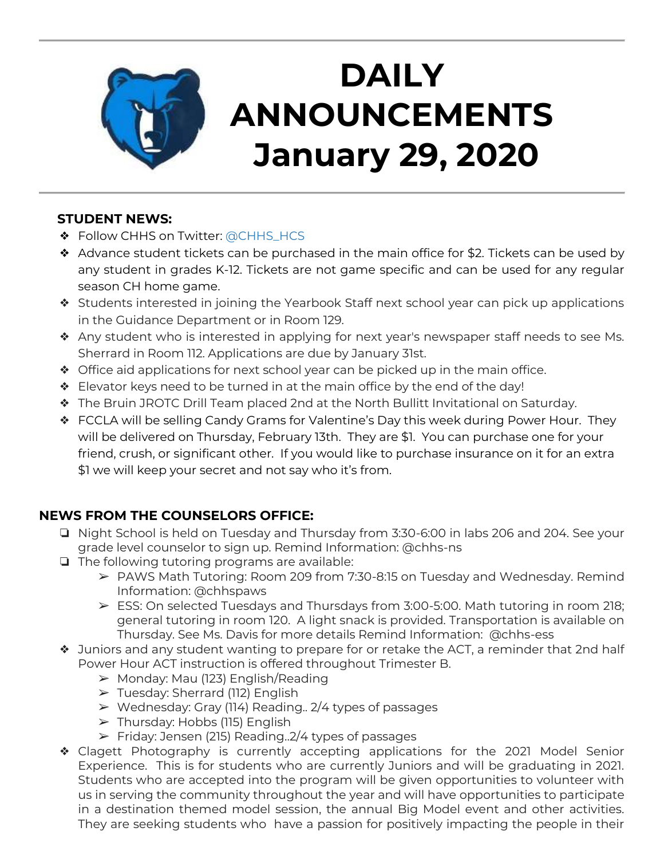

# **DAILY ANNOUNCEMENTS January 29, 2020**

### **STUDENT NEWS:**

- ❖ Follow CHHS on Twitter: [@CHHS\\_HCS](https://twitter.com/CHHS_HCS)
- ❖ Advance student tickets can be purchased in the main office for \$2. Tickets can be used by any student in grades K-12. Tickets are not game specific and can be used for any regular season CH home game.
- ❖ Students interested in joining the Yearbook Staff next school year can pick up applications in the Guidance Department or in Room 129.
- ❖ Any student who is interested in applying for next year's newspaper staff needs to see Ms. Sherrard in Room 112. Applications are due by January 31st.
- ❖ Office aid applications for next school year can be picked up in the main office.
- ❖ Elevator keys need to be turned in at the main office by the end of the day!
- ❖ The Bruin JROTC Drill Team placed 2nd at the North Bullitt Invitational on Saturday.
- ❖ FCCLA will be selling Candy Grams for Valentine's Day this week during Power Hour. They will be delivered on Thursday, February 13th. They are \$1. You can purchase one for your friend, crush, or significant other. If you would like to purchase insurance on it for an extra \$1 we will keep your secret and not say who it's from.

## **NEWS FROM THE COUNSELORS OFFICE:**

- ❏ Night School is held on Tuesday and Thursday from 3:30-6:00 in labs 206 and 204. See your grade level counselor to sign up. Remind Information: @chhs-ns
- ❏ The following tutoring programs are available:
	- ➢ PAWS Math Tutoring: Room 209 from 7:30-8:15 on Tuesday and Wednesday. Remind Information: @chhspaws
	- $\triangleright$  ESS: On selected Tuesdays and Thursdays from 3:00-5:00. Math tutoring in room 218; general tutoring in room 120. A light snack is provided. Transportation is available on Thursday. See Ms. Davis for more details Remind Information: @chhs-ess
- ❖ Juniors and any student wanting to prepare for or retake the ACT, a reminder that 2nd half Power Hour ACT instruction is offered throughout Trimester B.
	- $\triangleright$  Monday: Mau (123) English/Reading
	- ➢ Tuesday: Sherrard (112) English
	- ➢ Wednesday: Gray (114) Reading.. 2/4 types of passages
	- $\triangleright$  Thursday: Hobbs (115) English
	- $\triangleright$  Friday: Jensen (215) Reading. 2/4 types of passages
- ❖ Clagett Photography is currently accepting applications for the 2021 Model Senior Experience. This is for students who are currently Juniors and will be graduating in 2021. Students who are accepted into the program will be given opportunities to volunteer with us in serving the community throughout the year and will have opportunities to participate in a destination themed model session, the annual Big Model event and other activities. They are seeking students who have a passion for positively impacting the people in their